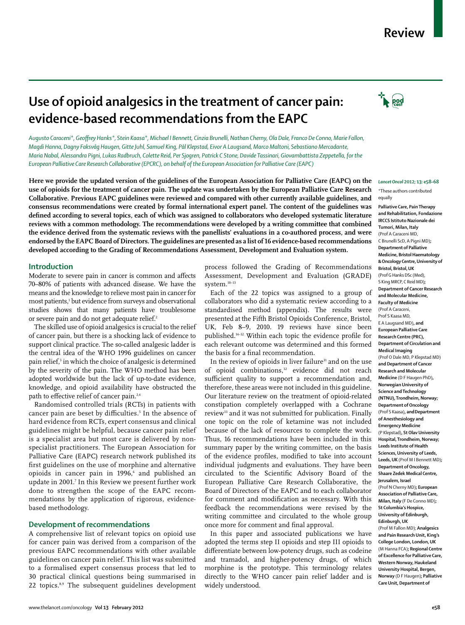# **Review**

# **Use of opioid analgesics in the treatment of cancer pain: evidence-based recommendations from the EAPC**



*Augusto Caraceni\*, Geoff rey Hanks\*, Stein Kaasa\*, Michael I Bennett, Cinzia Brunelli, Nathan Cherny, Ola Dale, Franco De Conno, Marie Fallon, Magdi Hanna, Dagny Faksvåg Haugen, Gitte Juhl, Samuel King, Pål Klepstad, Eivor A Laugsand, Marco Maltoni, Sebastiano Mercadante, Maria Nabal, Alessandra Pigni, Lukas Radbruch, Colette Reid, Per Sjogren, Patrick C Stone, Davide Tassinari, Giovambattista Zeppetella, for the European Palliative Care Research Collaborative (EPCRC), on behalf of the European Association for Palliative Care (EAPC)*

**Here we provide the updated version of the guidelines of the European Association for Palliative Care (EAPC) on the use of opioids for the treatment of cancer pain. The update was undertaken by the European Palliative Care Research Collaborative. Previous EAPC guidelines were reviewed and compared with other currently available guidelines, and consensus recommendations were created by formal international expert panel. The content of the guidelines was**  defined according to several topics, each of which was assigned to collaborators who developed systematic literature **reviews with a common methodology. The recommendations were developed by a writing committee that combined the evidence derived from the systematic reviews with the panellists' evaluations in a co-authored process, and were endorsed by the EAPC Board of Directors. The guidelines are presented as a list of 16 evidence-based recommendations developed according to the Grading of Recommendations Assessment, Development and Evaluation system.**

# **Introduction**

Moderate to severe pain in cancer is common and affects 70–80% of patients with advanced disease. We have the means and the knowledge to relieve most pain in cancer for most patients,1 but evidence from surveys and observational studies shows that many patients have troublesome or severe pain and do not get adequate relief.<sup>2</sup>

The skilled use of opioid analgesics is crucial to the relief of cancer pain, but there is a shocking lack of evidence to support clinical practice. The so-called analgesic ladder is the central idea of the WHO 1996 guidelines on cancer pain relief,<sup>3</sup> in which the choice of analgesic is determined by the severity of the pain. The WHO method has been adopted worldwide but the lack of up-to-date evidence, knowledge, and opioid availability have obstructed the path to effective relief of cancer pain.<sup>2,4</sup>

Randomised controlled trials (RCTs) in patients with cancer pain are beset by difficulties.<sup>5</sup> In the absence of hard evidence from RCTs, expert consensus and clinical guidelines might be helpful, because cancer pain relief is a specialist area but most care is delivered by nonspecialist practitioners. The European Association for Palliative Care (EAPC) research network published its first guidelines on the use of morphine and alternative opioids in cancer pain in 1996,6 and published an update in 2001.7 In this Review we present further work done to strengthen the scope of the EAPC recommendations by the application of rigorous, evidencebased methodology.

# **Development of recommendations**

A comprehensive list of relevant topics on opioid use for cancer pain was derived from a comparison of the previous EAPC recommendations with other available guidelines on cancer pain relief. This list was submitted to a formalised expert consensus process that led to 30 practical clinical questions being summarised in 22 topics.<sup>8,9</sup> The subsequent guidelines development process followed the Grading of Recommendations Assessment, Development and Evaluation (GRADE) system.10–13

Each of the 22 topics was assigned to a group of collaborators who did a systematic review according to a standardised method (appendix). The results were presented at the Fifth Bristol Opioids Conference, Bristol, UK, Feb 8–9, 2010. 19 reviews have since been published.<sup>14-32</sup> Within each topic the evidence profile for each relevant outcome was determined and this formed the basis for a final recommendation.

In the review of opioids in liver failure<sup>31</sup> and on the use of opioid combinations,<sup>32</sup> evidence did not reach sufficient quality to support a recommendation and, therefore, these areas were not included in this guideline. Our literature review on the treatment of opioid-related constipation completely overlapped with a Cochrane review<sup>33</sup> and it was not submitted for publication. Finally one topic on the role of ketamine was not included because of the lack of resources to complete the work. Thus, 16 recommendations have been included in this summary paper by the writing committee, on the basis of the evidence profiles, modified to take into account individual judgments and evaluations. They have been circulated to the Scientific Advisory Board of the European Palliative Care Research Collaborative, the Board of Directors of the EAPC and to each collaborator for comment and modification as necessary. With this feedback the recommendations were revised by the writing committee and circulated to the whole group once more for comment and final approval.

In this paper and associated publications we have adopted the terms step II opioids and step III opioids to differentiate between low-potency drugs, such as codeine and tramadol, and higher-potency drugs, of which morphine is the prototype. This terminology relates directly to the WHO cancer pain relief ladder and is widely understood.

*Lancet Oncol* **2012; 13: e58–68**

\*These authors contributed equally

**Palliative Care, Pain Therapy and Rehabilitation, Fondazione IRCCS Istituto Nazionale dei Tumori, Milan, Italy**  (Prof A Caraceni MD, C Brunelli ScD, A Pigni MD)**; Department of Palliative Medicine, Bristol Haematology & Oncology Centre, University of Bristol, Bristol, UK** (Prof G Hanks DSc (Med), S King MRCP, C Reid MD)**; Department of Cancer Research and Molecular Medicine, Faculty of Medicine** (Prof A Caraceni, Prof S Kaasa MD, E A Laugsand MD)**, and European Palliative Care Research Centre (PRC), Department of Circulation and Medical Imaging** (Prof O Dale MD, P Klepstad MD) **and Department of Cancer Research and Molecular Medicine** (D F Haugen PhD)**, Norwegian University of Science and Technology (NTNU), Trondheim, Norway; Department of Oncology**  (Prof S Kaasa)**, andDepartment of Anesthesiology and Emergency Medicine** (P Klepstad)**, St Olav University Hospital, Trondheim, Norway; Leeds Institute of Health Sciences, University of Leeds, Leeds, UK** (Prof M I Bennett MD)**; Department of Oncology, Shaare Zedek Medical Centre, Jerusalem, Israel** (Prof N Cherny MD)**; European Association of Palliative Care, Milan, Italy** (F De Conno MD)**; St Columbia's Hospice, University of Edinburgh, Edinburgh, UK** (Prof M Fallon MD); **Analgesics** 

**and Pain Research Unit, King's College London, London, UK** (M Hanna FCA)**; Regional Centre of Excellence for Palliative Care, Western Norway, Haukeland University Hospital, Bergen, Norway** (D F Haugen)**; Palliative Care Unit, Department of**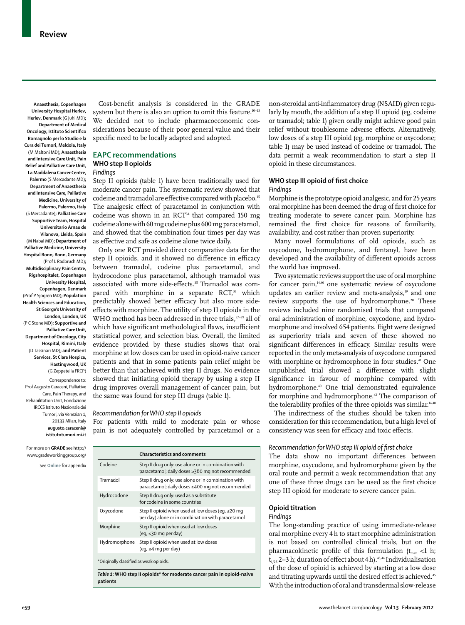**Anaesthesia, Copenhagen University Hospital Herlev, Herlev, Denmark** (G Juhl MD)**; Department of Medical Oncology, Istituto Scientifico Romagnolo per lo Studio e la Cura dei Tumori, Meldola, Italy** (M Maltoni MD)**; Anaesthesia and Intensive Care Unit, Pain Relief and Palliative Care Unit, La Maddalena Cancer Centre, Palermo** (S Mercadante MD)**; Department of Anaesthesia and Intensive Care, Palliative Medicine, University of Palermo, Palermo, Italy** (S Mercadante)**; Palliative Care Supportive Team, Hospital Universitario Arnau de Vilanova, Lleida, Spain** (M Nabal MD)**; Department of Palliative Medicine, University Hospital Bonn, Bonn, Germany** (Prof L Radbruch MD)**; Multidisciplinary Pain Centre, Rigshospitalet, Copenhagen University Hospital, Copenhagen, Denmark** (Prof P Sjogren MD)**; Population Health Sciences and Education, St George's University of London, London, UK** (P C Stone MD)**; Supportive and Palliative Care Unit, Department of Oncology, City Hospital, Rimini, Italy** (D Tassinari MD)**; and Patient Services, St Clare Hospice, Hastingwood, UK** (G Zeppetella FRCP) Correspondence to:

Prof Augusto Caraceni, Palliative Care, Pain Therapy, and Rehabilitation Unit, Fondazione IRCCS Istituto Nazionale dei Tumori, via Venezian 1, 20133 Milan, Italy **augusto.caraceni@ istitutotumori.mi.it**

For more on **GRADE** see http:// www.gradeworkinggroup.org/

See **Online** for appendix

Cost-benefit analysis is considered in the GRADE system but there is also an option to omit this feature.<sup>10-13</sup> We decided not to include pharmacoeconomic considerations because of their poor general value and their specific need to be locally adapted and adopted.

# **EAPC recommendations WHO step II opioids** *Findings*

Step II opioids (table 1) have been traditionally used for moderate cancer pain. The systematic review showed that codeine and tramadol are effective compared with placebo.<sup>15</sup> The analgesic effect of paracetamol in conjunction with codeine was shown in an RCT $34$  that compared 150 mg codeine alone with 60 mg codeine plus 600 mg paracetamol, and showed that the combination four times per day was as effective and safe as codeine alone twice daily.

Only one RCT provided direct comparative data for the step II opioids, and it showed no difference in efficacy between tramadol, codeine plus paracetamol, and hydrocodone plus paracetamol, although tramadol was associated with more side-effects.<sup>35</sup> Tramadol was compared with morphine in a separate RCT,<sup>36</sup> which predictably showed better efficacy but also more sideeffects with morphine. The utility of step II opioids in the WHO method has been addressed in three trials,  $37-39$  all of which have significant methodological flaws, insufficient statistical power, and selection bias. Overall, the limited evidence provided by these studies shows that oral morphine at low doses can be used in opioid-naive cancer patients and that in some patients pain relief might be better than that achieved with step II drugs. No evidence showed that initiating opioid therapy by using a step II drug improves overall management of cancer pain, but the same was found for step III drugs (table 1).

#### *Recommendation for WHO step II opioids*

For patients with mild to moderate pain or whose pain is not adequately controlled by paracetamol or a

|                                                                                    | <b>Characteristics and comments</b>                                                                          |  |  |  |
|------------------------------------------------------------------------------------|--------------------------------------------------------------------------------------------------------------|--|--|--|
| Codeine                                                                            | Step II drug only: use alone or in combination with<br>paracetamol; daily doses ≥360 mq not recommended      |  |  |  |
| Tramadol                                                                           | Step II drug only: use alone or in combination with<br>paracetamol; daily doses ≥400 mq not recommended      |  |  |  |
| Hydrocodone                                                                        | Step II drug only: used as a substitute<br>for codeine in some countries                                     |  |  |  |
| Oxycodone                                                                          | Step II opioid when used at low doses (eq, $\leq$ 20 mq<br>per day) alone or in combination with paracetamol |  |  |  |
| Morphine                                                                           | Step II opioid when used at low doses<br>$(eq, \leq 30$ mg per day)                                          |  |  |  |
| Hydromorphone                                                                      | Step II opioid when used at low doses<br>(eq, ≤4 mg per day)                                                 |  |  |  |
| *Originally classified as weak opioids.                                            |                                                                                                              |  |  |  |
| Table 1: WHO step II opioids* for moderate cancer pain in opioid-naive<br>patients |                                                                                                              |  |  |  |

non-steroidal anti-inflammatory drug (NSAID) given regularly by mouth, the addition of a step II opioid (eg, codeine or tramadol; table 1) given orally might achieve good pain relief without troublesome adverse effects. Alternatively, low doses of a step III opioid (eg, morphine or oxycodone; table 1) may be used instead of codeine or tramadol. The data permit a weak recommendation to start a step II opioid in these circumstances.

# **WHO step III opioid of first choice** *Findings*

Morphine is the prototype opioid analgesic, and for 25 years oral morphine has been deemed the drug of first choice for treating moderate to severe cancer pain. Morphine has remained the first choice for reasons of familiarity, availability, and cost rather than proven superiority.

Many novel formulations of old opioids, such as oxycodone, hydromorphone, and fentanyl, have been developed and the availability of different opioids across the world has improved.

Two systematic reviews support the use of oral morphine for cancer pain,<sup>14,40</sup> one systematic review of oxycodone updates an earlier review and meta-analysis,<sup>19</sup> and one review supports the use of hydromorphone.<sup>20</sup> These reviews included nine randomised trials that compared oral administration of morphine, oxycodone, and hydromorphone and involved 654 patients. Eight were designed as superiority trials and seven of these showed no significant differences in efficacy. Similar results were reported in the only meta-analysis of oxycodone compared with morphine or hydromorphone in four studies.<sup>41</sup> One unpublished trial showed a difference with slight significance in favour of morphine compared with hydromorphone.40 One trial demonstrated equivalence for morphine and hydromorphone.<sup>42</sup> The comparison of the tolerability profiles of the three opioids was similar.<sup>14,40</sup>

The indirectness of the studies should be taken into consideration for this recom mendation, but a high level of consistency was seen for efficacy and toxic effects.

# Recommendation for WHO step III opioid of first choice

The data show no important differences between morphine, oxycodone, and hydromorphone given by the oral route and permit a weak recommendation that any one of these three drugs can be used as the first choice step III opioid for moderate to severe cancer pain.

# **Opioid titration**

#### *Findings*

The long-standing practice of using immediate-release oral morphine every 4 h to start morphine administration is not based on controlled clinical trials, but on the pharmacokinetic profile of this formulation ( $t_{\text{max}}$  <1 h;  $t_{1/2\beta}$  2–3 h; duration of effect about 4 h).<sup>43,44</sup> Individualisation of the dose of opioid is achieved by starting at a low dose and titrating upwards until the desired effect is achieved.<sup>45</sup> With the introduction of oral and transdermal slow-release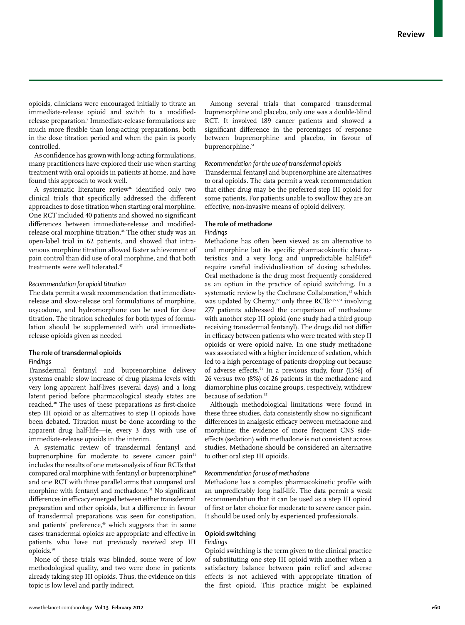opioids, clinicians were encouraged initially to titrate an immediate-release opioid and switch to a modifiedrelease preparation.' Immediate-release formulations are much more flexible than long-acting preparations, both in the dose titration period and when the pain is poorly controlled.

As confidence has grown with long-acting formulations, many practitioners have explored their use when starting treatment with oral opioids in patients at home, and have found this approach to work well.

A systematic literature review<sup>16</sup> identified only two clinical trials that specifically addressed the different approaches to dose titration when starting oral morphine. One RCT included 40 patients and showed no significant differences between immediate-release and modifiedrelease oral morphine titration.<sup>46</sup> The other study was an open-label trial in 62 patients, and showed that intravenous morphine titration allowed faster achievement of pain control than did use of oral morphine, and that both treatments were well tolerated.<sup>47</sup>

# *Recommendation for opioid titration*

The data permit a weak recommendation that immediaterelease and slow-release oral formulations of morphine, oxycodone, and hydromorphone can be used for dose titration. The titration schedules for both types of formulation should be supplemented with oral immediaterelease opioids given as needed.

# **The role of transdermal opioids**

#### *Findings*

Transdermal fentanyl and buprenorphine delivery systems enable slow increase of drug plasma levels with very long apparent half-lives (several days) and a long latent period before pharmacological steady states are reached.<sup>48</sup> The uses of these preparations as first-choice step III opioid or as alternatives to step II opioids have been debated. Titration must be done according to the apparent drug half-life—ie, every 3 days with use of immediate-release opioids in the interim.

A systematic review of transdermal fentanyl and buprenorphine for moderate to severe cancer pain<sup>21</sup> includes the results of one meta-analysis of four RCTs that compared oral morphine with fentanyl or buprenorphine<sup>49</sup> and one RCT with three parallel arms that compared oral morphine with fentanyl and methadone.<sup>50</sup> No significant differences in efficacy emerged between either transdermal preparation and other opioids, but a difference in favour of transdermal preparations was seen for constipation, and patients' preference,<sup>49</sup> which suggests that in some cases transdermal opioids are appropriate and effective in patients who have not previously received step III opioids.<sup>50</sup>

None of these trials was blinded, some were of low methodological quality, and two were done in patients already taking step III opioids. Thus, the evidence on this topic is low level and partly indirect.

Among several trials that compared transdermal buprenorphine and placebo, only one was a double-blind RCT. It involved 189 cancer patients and showed a significant difference in the percentages of response between buprenorphine and placebo, in favour of buprenorphine.<sup>51</sup>

# *Recommendation for the use of transdermal opioids*

Transdermal fentanyl and buprenorphine are alternatives to oral opioids. The data permit a weak recommendation that either drug may be the preferred step III opioid for some patients. For patients unable to swallow they are an effective, non-invasive means of opioid delivery.

# **The role of methadone**

# *Findings*

Methadone has often been viewed as an alternative to oral morphine but its specific pharmacokinetic characteristics and a very long and unpredictable half-life<sup>43</sup> require careful individualisation of dosing schedules. Oral methadone is the drug most frequently considered as an option in the practice of opioid switching. In a systematic review by the Cochrane Collaboration,<sup>52</sup> which was updated by Cherny,<sup>22</sup> only three RCTs<sup>50,53,54</sup> involving 277 patients addressed the comparison of methadone with another step III opioid (one study had a third group receiving transdermal fentanyl). The drugs did not differ in efficacy between patients who were treated with step II opioids or were opioid naive. In one study methadone was associated with a higher incidence of sedation, which led to a high percentage of patients dropping out because of adverse effects.<sup>53</sup> In a previous study, four (15%) of 26 versus two (8%) of 26 patients in the methadone and diamorphine plus cocaine groups, respectively, withdrew because of sedation.<sup>55</sup>

Although methodological limitations were found in these three studies, data consistently show no significant differences in analgesic efficacy between methadone and morphine; the evidence of more frequent CNS sideeffects (sedation) with methadone is not consistent across studies. Methadone should be considered an alternative to other oral step III opioids.

#### *Recommendation for use of methadone*

Methadone has a complex pharmacokinetic profile with an unpredictably long half-life. The data permit a weak recommendation that it can be used as a step III opioid of first or later choice for moderate to severe cancer pain. It should be used only by experienced professionals.

# **Opioid switching**

### *Findings*

Opioid switching is the term given to the clinical practice of substituting one step III opioid with another when a satisfactory balance between pain relief and adverse effects is not achieved with appropriate titration of the first opioid. This practice might be explained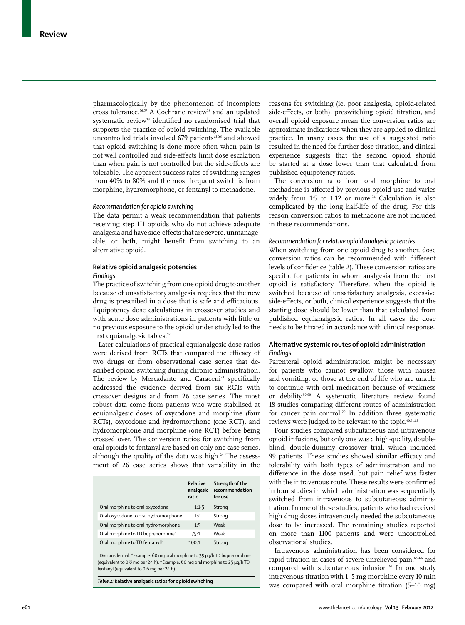pharmacologically by the phenomenon of incomplete cross tolerance.<sup>56,57</sup> A Cochrane review<sup>58</sup> and an updated systematic review<sup>23</sup> identified no randomised trial that supports the practice of opioid switching. The available uncontrolled trials involved 679 patients<sup>23,58</sup> and showed that opioid switching is done more often when pain is not well controlled and side-effects limit dose escalation than when pain is not controlled but the side-effects are tolerable. The apparent success rates of switching ranges from 40% to 80% and the most frequent switch is from morphine, hydromorphone, or fentanyl to methadone.

#### *Recommendation for opioid switching*

The data permit a weak recommendation that patients receiving step III opioids who do not achieve adequate analgesia and have side-effects that are severe, unmanageable, or both, might benefit from switching to an alternative opioid.

# **Relative opioid analgesic potencies**

# *Findings*

The practice of switching from one opioid drug to another because of unsatisfactory analgesia requires that the new drug is prescribed in a dose that is safe and efficacious. Equipotency dose calculations in crossover studies and with acute dose administrations in patients with little or no previous exposure to the opioid under study led to the first equianalgesic tables.<sup>57</sup>

Later calculations of practical equianalgesic dose ratios were derived from RCTs that compared the efficacy of two drugs or from observational case series that described opioid switching during chronic administration. The review by Mercadante and Caraceni<sup>24</sup> specifically addressed the evidence derived from six RCTs with crossover designs and from 26 case series. The most robust data come from patients who were stabilised at equianalgesic doses of oxycodone and morphine (four RCTs), oxycodone and hydromorphone (one RCT), and hydromorphone and morphine (one RCT) before being crossed over. The conversion ratios for switching from oral opioids to fentanyl are based on only one case series, although the quality of the data was high. $24$  The assessment of 26 case series shows that variability in the

|                                           | Relative<br>analgesic<br>ratio | Strength of the<br>recommendation<br>foruse |
|-------------------------------------------|--------------------------------|---------------------------------------------|
| Oral morphine to oral oxycodone           | 1:1.5                          | Strong                                      |
| Oral oxycodone to oral hydromorphone      | 1:4                            | Strong                                      |
| Oral morphine to oral hydromorphone       | 1:5                            | Weak                                        |
| Oral morphine to TD buprenorphine*        | 75:1                           | Weak                                        |
| Oral morphine to TD fentanyl <sup>†</sup> | 100.1                          | Strong                                      |

TD=transdermal. \*Example: 60 mg oral morphine to 35 μg/h TD buprenorphine (equivalent to 0·8 mg per 24 h). †Example: 60 mg oral morphine to 25 μg/h TD fentanyl (equivalent to 0·6 mg per 24 h).

*Table 2:* **Relative analgesic ratios for opioid switching**

reasons for switching (ie, poor analgesia, opioid-related side-effects, or both), preswitching opioid titration, and overall opioid exposure mean the conversion ratios are approximate indications when they are applied to clinical practice. In many cases the use of a suggested ratio resulted in the need for further dose titration, and clinical experience suggests that the second opioid should be started at a dose lower than that calculated from published equipotency ratios.

The conversion ratio from oral morphine to oral methadone is affected by previous opioid use and varies widely from 1:5 to 1:12 or more.<sup>24</sup> Calculation is also complicated by the long half-life of the drug. For this reason conversion ratios to methadone are not included in these recommendations.

# *Recommendation for relative opioid analgesic potencies*

When switching from one opioid drug to another, dose conversion ratios can be recommended with different levels of confidence (table 2). These conversion ratios are specific for patients in whom analgesia from the first opioid is satisfactory. Therefore, when the opioid is switched because of unsatisfactory analgesia, excessive side-effects, or both, clinical experience suggests that the starting dose should be lower than that calculated from published equianalgesic ratios. In all cases the dose needs to be titrated in accordance with clinical response.

# **Alternative systemic routes of opioid administration** *Findings*

Parenteral opioid administration might be necessary for patients who cannot swallow, those with nausea and vomiting, or those at the end of life who are unable to continue with oral medication because of weakness or debility.59,60 A systematic literature review found 18 studies comparing different routes of administration for cancer pain control.<sup>29</sup> In addition three systematic reviews were judged to be relevant to the topic.<sup>40,61,62</sup>

Four studies compared subcutaneous and intravenous opioid infusions, but only one was a high-quality, doubleblind, double-dummy crossover trial, which included 99 patients. These studies showed similar efficacy and tolerability with both types of administration and no difference in the dose used, but pain relief was faster with the intravenous route. These results were confirmed in four studies in which administration was sequentially switched from intravenous to subcutaneous administration. In one of these studies, patients who had received high drug doses intravenously needed the subcutaneous dose to be increased. The remaining studies reported on more than 1100 patients and were uncontrolled observational studies.

Intravenous administration has been considered for rapid titration in cases of severe unrelieved pain,<sup>63-66</sup> and compared with subcutaneous infusion.<sup>67</sup> In one study intravenous titration with 1·5 mg morphine every 10 min was compared with oral morphine titration (5–10 mg)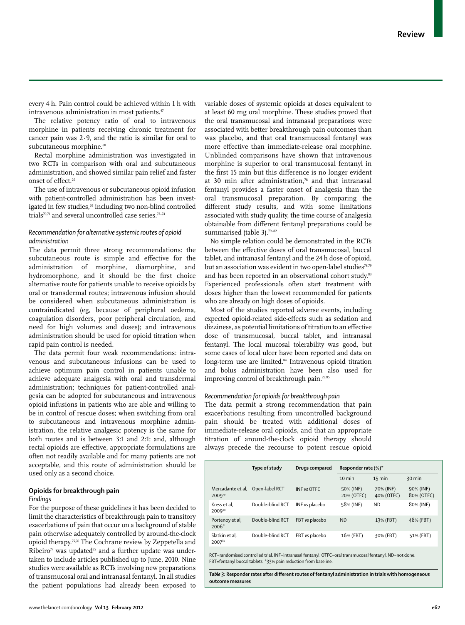every 4 h. Pain control could be achieved within 1 h with intravenous administration in most patients.<sup>47</sup>

The relative potency ratio of oral to intravenous morphine in patients receiving chronic treatment for cancer pain was 2·9, and the ratio is similar for oral to subcutaneous morphine.<sup>68</sup>

Rectal morphine administration was investigated in two RCTs in comparison with oral and subcutaneous administration, and showed similar pain relief and faster onset of effect.<sup>29</sup>

The use of intravenous or subcutaneous opioid infusion with patient-controlled administration has been investigated in few studies.<sup>69</sup> including two non-blind controlled trials<sup>70,71</sup> and several uncontrolled case series.<sup>72-74</sup>

# *Recommendation for alternative systemic routes of opioid administration*

The data permit three strong recommendations: the subcutaneous route is simple and effective for the administration of morphine, diamorphine, and hydromorphone, and it should be the first choice alternative route for patients unable to receive opioids by oral or transdermal routes; intravenous infusion should be considered when subcutaneous administration is contraindicated (eg, because of peripheral oedema, coagulation disorders, poor peripheral circulation, and need for high volumes and doses); and intravenous administration should be used for opioid titration when rapid pain control is needed.

The data permit four weak recommendations: intravenous and subcutaneous infusions can be used to achieve optimum pain control in patients unable to achieve adequate analgesia with oral and transdermal administration; techniques for patient-controlled analgesia can be adopted for subcutaneous and intravenous opioid infusions in patients who are able and willing to be in control of rescue doses; when switching from oral to subcutaneous and intravenous morphine administration, the relative analgesic potency is the same for both routes and is between 3:1 and 2:1; and, although rectal opioids are effective, appropriate formulations are often not readily available and for many patients are not acceptable, and this route of administration should be used only as a second choice.

# **Opioids for breakthrough pain**

## *Findings*

For the purpose of these guidelines it has been decided to limit the characteristics of breakthrough pain to transitory exacerbations of pain that occur on a background of stable pain otherwise adequately controlled by around-the-clock opioid therapy.75,76 The Cochrane review by Zeppetella and  $Ribeiro^{\pi}$  was updated<sup>25</sup> and a further update was undertaken to include articles published up to June, 2010. Nine studies were available as RCTs involving new preparations of transmucosal oral and intranasal fentanyl. In all studies the patient populations had already been exposed to variable doses of systemic opioids at doses equivalent to at least 60 mg oral morphine. These studies proved that the oral transmucosal and intranasal preparations were associated with better breakthrough pain outcomes than was placebo, and that oral transmucosal fentanyl was more effective than immediate-release oral morphine. Unblinded comparisons have shown that intravenous morphine is superior to oral transmucosal fentanyl in the first 15 min but this difference is no longer evident at 30 min after administration,78 and that intranasal fentanyl provides a faster onset of analgesia than the oral transmucosal preparation. By comparing the different study results, and with some limitations associated with study quality, the time course of analgesia obtainable from different fentanyl preparations could be summarised (table 3).<sup>79-82</sup>

No simple relation could be demonstrated in the RCTs between the effective doses of oral transmucosal, buccal tablet, and intranasal fentanyl and the 24 h dose of opioid, but an association was evident in two open-label studies<sup>78,79</sup> and has been reported in an observational cohort study.<sup>83</sup> Experienced professionals often start treatment with doses higher than the lowest recommended for patients who are already on high doses of opioids.

Most of the studies reported adverse events, including expected opioid-related side-effects such as sedation and dizziness, as potential limitations of titration to an effective dose of transmucosal, buccal tablet, and intranasal fentanyl. The local mucosal tolerability was good, but some cases of local ulcer have been reported and data on long-term use are limited.<sup>84</sup> Intravenous opioid titration and bolus administration have been also used for improving control of breakthrough pain.<sup>29,85</sup>

#### *Recommendation for opioids for breakthrough pain*

The data permit a strong recommendation that pain exacerbations resulting from uncontrolled background pain should be treated with additional doses of immediate-release oral opioids, and that an appropriate titration of around-the-clock opioid therapy should always precede the recourse to potent rescue opioid

|                             | Type of study    | Drugs compared | Responder rate (%)*     |                         |                         |
|-----------------------------|------------------|----------------|-------------------------|-------------------------|-------------------------|
|                             |                  |                | $10 \text{ min}$        | 15 min                  | 30 min                  |
| Mercadante et al,<br>200979 | Open-label RCT   | INF vs OTFC    | 50% (INF)<br>20% (OTFC) | 70% (INF)<br>40% (OTFC) | 90% (INF)<br>80% (OTFC) |
| Kress et al.<br>200980      | Double-blind RCT | INF vs placebo | 58% (INF)               | <b>ND</b>               | 80% (INF)               |
| Portenoy et al,<br>200681   | Double-blind RCT | FBT vs placebo | <b>ND</b>               | 13% (FBT)               | 48% (FBT)               |
| Slatkin et al.<br>200782    | Double-blind RCT | FBT vs placebo | 16% (FBT)               | 30% (FBT)               | 51% (FBT)               |

RCT=randomised controlled trial. INF=intranasal fentanyl. OTFC=oral transmucosal fentanyl. ND=not done. FBT=fentanyl buccal tablets. \*33% pain reduction from baseline.

Table 3: Responder rates after different routes of fentanyl administration in trials with homogeneous **outcome measures**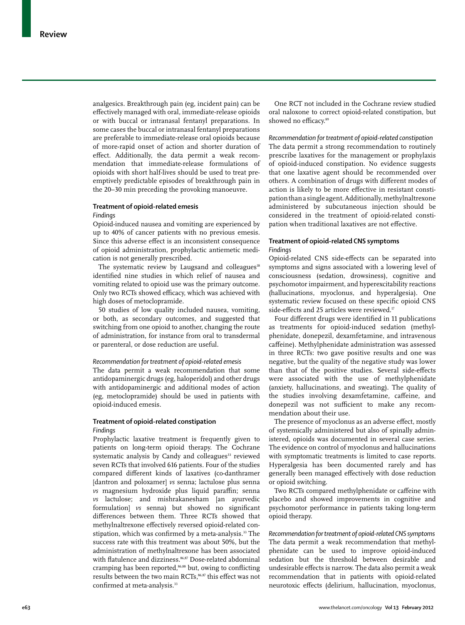analgesics. Breakthrough pain (eg, incident pain) can be effectively managed with oral, immediate-release opioids or with buccal or intranasal fentanyl preparations. In some cases the buccal or intranasal fentanyl preparations are preferable to immediate-release oral opioids because of more-rapid onset of action and shorter duration of effect. Additionally, the data permit a weak recommendation that immediate-release formulations of opioids with short half-lives should be used to treat preemptively predictable episodes of breakthrough pain in the 20–30 min preceding the provoking manoeuvre.

# **Treatment of opioid-related emesis** *Findings*

Opioid-induced nausea and vomiting are experienced by up to 40% of cancer patients with no previous emesis. Since this adverse effect is an inconsistent consequence of opioid administration, prophylactic antiemetic medication is not generally prescribed.

The systematic review by Laugsand and colleagues<sup>18</sup> identified nine studies in which relief of nausea and vomiting related to opioid use was the primary outcome. Only two RCTs showed efficacy, which was achieved with high doses of metoclopramide.

50 studies of low quality included nausea, vomiting, or both, as secondary outcomes, and suggested that switching from one opioid to another, changing the route of administration, for instance from oral to transdermal or parenteral, or dose reduction are useful.

#### *Recommendation for treatment of opioid-related emesis*

The data permit a weak recommendation that some antidopaminergic drugs (eg, haloperidol) and other drugs with antidopaminergic and additional modes of action (eg, metoclopramide) should be used in patients with opioid-induced emesis.

#### **Treatment of opioid-related constipation** *Findings*

Prophylactic laxative treatment is frequently given to

patients on long-term opioid therapy. The Cochrane systematic analysis by Candy and colleagues<sup>33</sup> reviewed seven RCTs that involved 616 patients. Four of the studies compared different kinds of laxatives (co-danthramer [dantron and poloxamer] *vs* senna; lactulose plus senna *vs* magnesium hydroxide plus liquid paraffin; senna *vs* lactulose; and mishrakanesham [an ayurvedic formulation] *vs* senna) but showed no significant differences between them. Three RCTs showed that methylnaltrexone effectively reversed opioid-related constipation, which was confirmed by a meta-analysis.<sup>33</sup> The success rate with this treatment was about 50%, but the administration of methylnaltrexone has been associated with flatulence and dizziness.<sup>86,87</sup> Dose-related abdominal cramping has been reported,<sup>86,88</sup> but, owing to conflicting results between the two main RCTs, 86,87 this effect was not confirmed at meta-analysis.<sup>33</sup>

One RCT not included in the Cochrane review studied oral naloxone to correct opioid-related constipation, but showed no efficacy.<sup>89</sup>

#### *Recommendation for treatment of opioid-related constipation*

The data permit a strong recommendation to routinely prescribe laxatives for the management or prophylaxis of opioid-induced constipation. No evidence suggests that one laxative agent should be recommended over others. A combination of drugs with different modes of action is likely to be more effective in resistant constipation than a single agent. Additionally, methylnaltrexone admin istered by subcutaneous injection should be considered in the treatment of opioid-related constipation when traditional laxatives are not effective.

# **Treatment of opioid-related CNS symptoms** *Findings*

Opioid-related CNS side-effects can be separated into symptoms and signs associated with a lowering level of consciousness (sedation, drowsiness), cognitive and psychomotor impairment, and hyperexcitability reactions (hallucinations, myoclonus, and hyperalgesia). One systematic review focused on these specific opioid CNS side-effects and 25 articles were reviewed.<sup>17</sup>

Four different drugs were identified in 11 publications as treatments for opioid-induced sedation (methylphenidate, donepezil, dexamfetamine, and intravenous caffeine). Methylphenidate administration was assessed in three RCTs: two gave positive results and one was negative, but the quality of the negative study was lower than that of the positive studies. Several side-effects were associated with the use of methylphenidate (anxiety, hallucinations, and sweating). The quality of the studies involving dexamfetamine, caffeine, and donepezil was not sufficient to make any recommendation about their use.

The presence of myoclonus as an adverse effect, mostly of systemically administered but also of spinally administered, opioids was documented in several case series. The evidence on control of myoclonus and hallucinations with symptomatic treatments is limited to case reports. Hyperalgesia has been documented rarely and has generally been managed effectively with dose reduction or opioid switching.

Two RCTs compared methylphenidate or caffeine with placebo and showed improvements in cognitive and psychomotor performance in patients taking long-term opioid therapy.

*Recommendation for treatment of opioid-related CNS symptoms* The data permit a weak recommendation that methylphenidate can be used to improve opioid-induced sedation but the threshold between desirable and undesirable effects is narrow. The data also permit a weak recommendation that in patients with opioid-related neurotoxic effects (delirium, hallucination, myoclonus,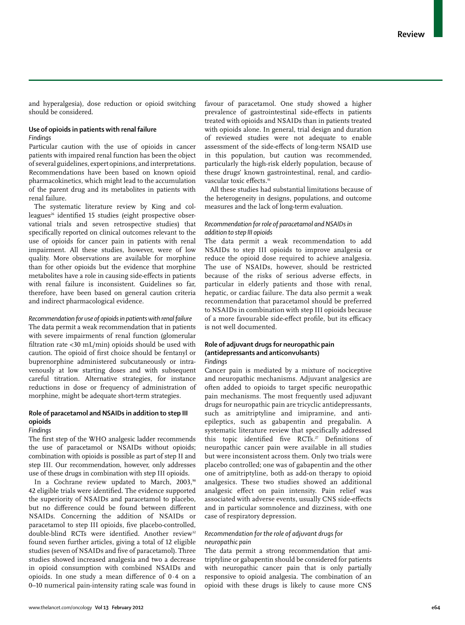and hyperalgesia), dose reduction or opioid switching should be considered.

# **Use of opioids in patients with renal failure** *Findings*

Particular caution with the use of opioids in cancer patients with impaired renal function has been the object of several guidelines, expert opinions, and interpretations. Recommendations have been based on known opioid pharmacokinetics, which might lead to the accumulation of the parent drug and its metabolites in patients with renal failure.

The systematic literature review by King and colleagues<sup>26</sup> identified 15 studies (eight prospective observational trials and seven retrospective studies) that specifically reported on clinical outcomes relevant to the use of opioids for cancer pain in patients with renal impairment. All these studies, however, were of low quality. More observations are available for morphine than for other opioids but the evidence that morphine metabolites have a role in causing side-effects in patients with renal failure is inconsistent. Guidelines so far, therefore, have been based on general caution criteria and indirect pharmacological evidence.

# *Recommendation for use of opioids in patients with renal failure* The data permit a weak recommendation that in patients

with severe impairments of renal function (glomerular filtration rate <30 mL/min) opioids should be used with caution. The opioid of first choice should be fentanyl or buprenorphine administered subcutaneously or intravenously at low starting doses and with subsequent careful titration. Alternative strategies, for instance reductions in dose or frequency of administration of morphine, might be adequate short-term strategies.

# **Role of paracetamol and NSAIDs in addition to step III opioids**

# *Findings*

The first step of the WHO analgesic ladder recommends the use of paracetamol or NSAIDs without opioids; combination with opioids is possible as part of step II and step III. Our recommendation, however, only addresses use of these drugs in combination with step III opioids.

In a Cochrane review updated to March, 2003,<sup>90</sup> 42 eligible trials were identified. The evidence supported the superiority of NSAIDs and paracetamol to placebo, but no difference could be found between different NSAIDs. Concerning the addition of NSAIDs or paracetamol to step III opioids, five placebo-controlled, double-blind RCTs were identified. Another review<sup>32</sup> found seven further articles, giving a total of 12 eligible studies (seven of NSAIDs and five of paracetamol). Three studies showed increased analgesia and two a decrease in opioid consumption with combined NSAIDs and opioids. In one study a mean difference of  $0.4$  on a 0–10 numerical pain-intensity rating scale was found in favour of paracetamol. One study showed a higher prevalence of gastrointestinal side-effects in patients treated with opioids and NSAIDs than in patients treated with opioids alone. In general, trial design and duration of reviewed studies were not adequate to enable assessment of the side-effects of long-term NSAID use in this population, but caution was recommended, particularly the high-risk elderly population, because of these drugs' known gastrointestinal, renal, and cardiovascular toxic effects.<sup>91</sup>

All these studies had substantial limitations because of the heterogeneity in designs, populations, and outcome measures and the lack of long-term evaluation.

# *Recommendation for role of paracetamol and NSAIDs in addition to step III opioids*

The data permit a weak recommendation to add NSAIDs to step III opioids to improve analgesia or reduce the opioid dose required to achieve analgesia. The use of NSAIDs, however, should be restricted because of the risks of serious adverse effects, in particular in elderly patients and those with renal, hepatic, or cardiac failure. The data also permit a weak recommendation that paracetamol should be preferred to NSAIDs in combination with step III opioids because of a more favourable side-effect profile, but its efficacy is not well documented.

# **Role of adjuvant drugs for neuropathic pain (antidepressants and anticonvulsants)**

*Findings*

Cancer pain is mediated by a mixture of nociceptive and neuropathic mechanisms. Adjuvant analgesics are often added to opioids to target specific neuropathic pain mechanisms. The most frequently used adjuvant drugs for neuropathic pain are tricyclic antidepressants, such as amitriptyline and imipramine, and antiepileptics, such as gabapentin and pregabalin. A systematic literature review that specifically addressed this topic identified five RCTs.<sup>27</sup> Definitions of neuropathic cancer pain were available in all studies but were inconsistent across them. Only two trials were placebo controlled; one was of gabapentin and the other one of amitriptyline, both as add-on therapy to opioid analgesics. These two studies showed an additional analgesic effect on pain intensity. Pain relief was associated with adverse events, usually CNS side-effects and in particular somnolence and dizziness, with one case of respiratory depression.

# *Recommendation for the role of adjuvant drugs for neuropathic pain*

The data permit a strong recommendation that amitriptyline or gabapentin should be considered for patients with neuropathic cancer pain that is only partially responsive to opioid analgesia. The combination of an opioid with these drugs is likely to cause more CNS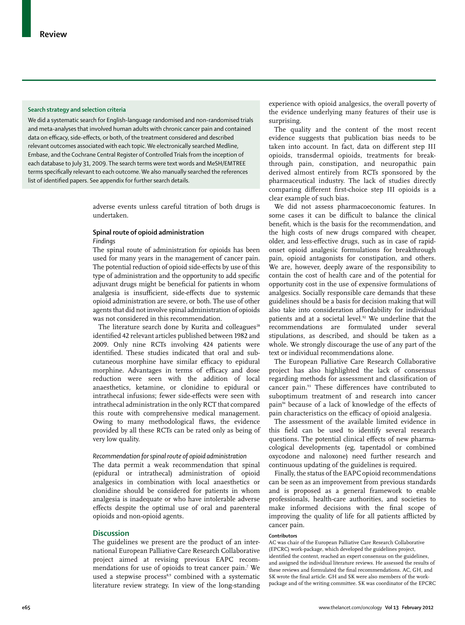#### **Search strategy and selection criteria**

We did a systematic search for English-language randomised and non-randomised trials and meta-analyses that involved human adults with chronic cancer pain and contained data on efficacy, side-effects, or both, of the treatment considered and described relevant outcomes associated with each topic. We electronically searched Medline, Embase, and the Cochrane Central Register of Controlled Trials from the inception of each database to July 31, 2009. The search terms were text words and MeSH/EMTREE terms specifically relevant to each outcome. We also manually searched the references list of identified papers. See appendix for further search details.

> adverse events unless careful titration of both drugs is undertaken.

# **Spinal route of opioid administration** *Findings*

The spinal route of administration for opioids has been used for many years in the management of cancer pain. The potential reduction of opioid side-effects by use of this type of administration and the opportunity to add specific adjuvant drugs might be beneficial for patients in whom analgesia is insufficient, side-effects due to systemic opioid administration are severe, or both. The use of other agents that did not involve spinal administration of opioids was not considered in this recommendation.

The literature search done by Kurita and colleagues<sup>28</sup> identified 42 relevant articles published between 1982 and 2009. Only nine RCTs involving 424 patients were identified. These studies indicated that oral and subcutaneous morphine have similar efficacy to epidural morphine. Advantages in terms of efficacy and dose reduction were seen with the addition of local anaesthetics, ketamine, or clonidine to epidural or intrathecal infusions; fewer side-effects were seen with intrathecal administration in the only RCT that compared this route with comprehensive medical management. Owing to many methodological flaws, the evidence provided by all these RCTs can be rated only as being of very low quality.

# *Recommendation for spinal route of opioid administration*

The data permit a weak recommendation that spinal (epidural or intrathecal) administration of opioid analgesics in combination with local anaesthetics or clonidine should be considered for patients in whom analgesia is inadequate or who have intolerable adverse effects despite the optimal use of oral and parenteral opioids and non-opioid agents.

#### **Discussion**

The guidelines we present are the product of an international European Palliative Care Research Collaborative project aimed at revising previous EAPC recommendations for use of opioids to treat cancer pain.<sup>7</sup> We used a stepwise process<sup>8,9</sup> combined with a systematic literature review strategy. In view of the long-standing

experience with opioid analgesics, the overall poverty of the evidence underlying many features of their use is surprising.

The quality and the content of the most recent evidence suggests that publication bias needs to be taken into account. In fact, data on different step III opioids, transdermal opioids, treatments for breakthrough pain, constipation, and neuropathic pain derived almost entirely from RCTs sponsored by the pharmaceutical industry. The lack of studies directly comparing different first-choice step III opioids is a clear example of such bias.

We did not assess pharmacoeconomic features. In some cases it can be difficult to balance the clinical benefit, which is the basis for the recommendation, and the high costs of new drugs compared with cheaper, older, and less-effective drugs, such as in case of rapidonset opioid analgesic formulations for breakthrough pain, opioid antagonists for constipation, and others. We are, however, deeply aware of the responsibility to contain the cost of health care and of the potential for opportunity cost in the use of expensive formulations of analgesics. Socially responsible care demands that these guidelines should be a basis for decision making that will also take into consideration affordability for individual patients and at a societal level.<sup>92</sup> We underline that the recom mendations are formulated under several stipulations, as described, and should be taken as a whole. We strongly discourage the use of any part of the text or individual recommendations alone.

The European Palliative Care Research Collaborative project has also highlighted the lack of consensus regarding methods for assessment and classification of cancer pain.<sup>93</sup> These differences have contributed to suboptimum treatment of and research into cancer pain<sup>94</sup> because of a lack of knowledge of the effects of pain characteristics on the efficacy of opioid analgesia.

The assessment of the available limited evidence in this field can be used to identify several research questions. The potential clinical effects of new pharmacological developments (eg, tapentadol or combined oxycodone and naloxone) need further research and continuous updating of the guidelines is required.

Finally, the status of the EAPC opioid recommendations can be seen as an improvement from previous standards and is proposed as a general framework to enable professionals, health-care authorities, and societies to make informed decisions with the final scope of improving the quality of life for all patients afflicted by cancer pain.

#### **Contributors**

AC was chair of the European Palliative Care Research Collaborative (EPCRC) work-package, which developed the guidelines project, identified the content, reached an expert consensus on the guidelines, and assigned the individual literature reviews. He assessed the results of these reviews and formulated the final recommendations. AC, GH, and SK wrote the final article. GH and SK were also members of the workpackage and of the writing committee. SK was coordinator of the EPCRC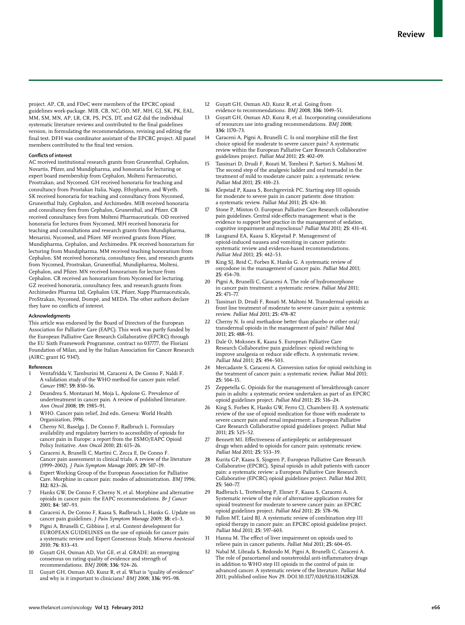project. AP, CB, and FDeC were members of the EPCRC opioid guidelines work-package. MIB, CB, NC, OD, MF, MH, GJ, SK, PK, EAL, MM, SM, MN, AP, LR, CR, PS, PCS, DT, and GZ did the individual systematic literature reviews and contributed to the final guidelines version, in formulating the recommendations, revising and editing the final text. DFH was coordinator assistant of the EPCRC project. All panel members contributed to the final text version.

#### **Confl icts of interest**

AC received institutional research grants from Grunenthal, Cephalon, Novartis, Pfizer, and Mundipharma, and honoraria for lecturing or expert board membership from Cephalon, Molteni Farmaceutici, Prostrakan, and Nycomed. GH received honoraria for teaching and consultancy from Prostakan Italia, Napp, Ethypharm, and Wyeth. SK received honoraria for teaching and consultancy from Nycomed, Grunenthal Italy, Cephalon, and Archimedes. MIB received honoraria and consultancy fees from Cephalon, Grunenthal, and Pfizer. CB received consultancy fees from Molteni Pharmaceuticals. OD received honoraria for lectures from Nycomed, MH received honoraria for teaching and consultations and research grants from Mundipharma, Menarini, Nycomed, and Pfizer. MF received grants from Pfizer, Mundipharma, Cephalon, and Archimedes. PK received honorarium for lecturing from Mundipharma. MM received teaching honorarium from Cephalon. SM received honoraria, consultancy fees, and research grants from Nycomed, Prostrakan, Grunenthal, Mundipharma, Molteni, Cephalon, and Pfizer. MN received honorarium for lecture from Cephalon. CR received an honorarium from Nycomed for lecturing. GZ received honoraria, consultancy fees, and research grants from Archimedes Pharma Ltd, Cephalon UK, Pfizer, Napp Pharmaceuticals, ProStrakan, Nycomed, Dompè, and MEDA. The other authors declare they have no conflicts of interest.

#### **Acknowledgments**

This article was endorsed by the Board of Directors of the European Association for Palliative Care (EAPC). This work was partly funded by the European Palliative Care Research Collaborative (EPCRC) through the EU Sixth Framework Programme, contract no 037777, the Floriani Foundation of Milan, and by the Italian Association for Cancer Research (AIRC; grant IG 9347).

#### **References**

- 1 Ventafridda V, Tamburini M, Caraceni A, De Conno F, Naldi F. A validation study of the WHO method for cancer pain relief. *Cancer* 1987; **59:** 850–56.
- 2 Deandrea S, Montanari M, Moja L, Apolone G. Prevalence of undertreatment in cancer pain. A review of published literature. *Ann Oncol* 2008; **19:** 1985–91.
- 3 WHO. Cancer pain relief, 2nd edn. Geneva: World Health Organization, 1996.
- 4 Cherny NI, Baselga J, De Conno F, Radbruch L. Formulary availability and regulatory barriers to accessibility of opioids for cancer pain in Europe: a report from the ESMO/EAPC Opioid Policy Initiative. *Ann Oncol* 2010; **21:** 615–26.
- 5 Caraceni A, Brunelli C, Martini C, Zecca E, De Conno F. Cancer pain assessment in clinical trials. A review of the literature (1999–2002). *J Pain Symptom Manage* 2005; **29:** 507–19.
- 6 Expert Working Group of the European Association for Palliative Care. Morphine in cancer pain: modes of administration. *BMJ* 1996; **312:** 823–26.
- 7 Hanks GW, De Conno F, Cherny N, et al. Morphine and alternative opioids in cancer pain: the EAPC recommendations. *Br J Cancer* 2001; **84:** 587–93.
- 8 Caraceni A, De Conno F, Kaasa S, Radbruch L, Hanks G. Update on cancer pain guidelines. *J Pain Symptom Manage* 2009; **38:** e1–3.
- 9 Pigni A, Brunelli C, Gibbins J, et al. Content development for EUROPEAN GUIDELINES on the use of opioids for cancer pain: a systematic review and Expert Consensus Study. *Minerva Anestesiol* 2010; **76:** 833–43.
- 10 Guyatt GH, Oxman AD, Vist GE, et al. GRADE: an emerging consensus on rating quality of evidence and strength of recommendations. *BMJ* 2008; **336:** 924–26.
- 11 Guyatt GH, Oxman AD, Kunz R, et al. What is "quality of evidence" and why is it important to clinicians? *BMJ* 2008; **336:** 995–98.
- 12 Guyatt GH, Oxman AD, Kunz R, et al. Going from evidence to recommendations. *BMJ* 2008; **336:** 1049–51.
- 13 Guyatt GH, Oxman AD, Kunz R, et al. Incorporating considerations of resources use into grading recommendations. *BMJ* 2008; **336:** 1170–73.
- 14 Caraceni A, Pigni A, Brunelli C. Is oral morphine still the first choice opioid for moderate to severe cancer pain? A systematic review within the European Palliative Care Research Collaborative guidelines project. *Palliat Med* 2011; **25:** 402–09.
- 15 Tassinari D, Drudi F, Rosati M, Tombesi P, Sartori S, Maltoni M. The second step of the analgesic ladder and oral tramadol in the treatment of mild to moderate cancer pain: a systematic review. *Palliat Med* 2011; **25:** 410–23.
- 16 Klepstad P, Kaasa S, Borchgrevink PC. Starting step III opioids for moderate to severe pain in cancer patients: dose titration: a systematic review. *Palliat Med* 2011; **25:** 424–30.
- 17 Stone P, Minton O. European Palliative Care Research collaborative pain guidelines. Central side-effects management: what is the evidence to support best practice in the management of sedation, cognitive impairment and myoclonus? *Palliat Med* 2011; **25:** 431–41.
- 18 Laugsand EA, Kaasa S, Klepstad P. Management of opioid-induced nausea and vomiting in cancer patients: systematic review and evidence-based recommendations. *Palliat Med* 2011; **25:** 442–53.
- 19 King SJ, Reid C, Forbes K, Hanks G. A systematic review of oxycodone in the management of cancer pain. *Palliat Med* 2011; **25:** 454–70.
- 20 Pigni A, Brunelli C, Caraceni A. The role of hydromorphone in cancer pain treatment: a systematic review. *Palliat Med* 2011; **25:** 471–77.
- 21 Tassinari D, Drudi F, Rosati M, Maltoni M. Transdermal opioids as front line treatment of moderate to severe cancer pain: a systemic review. *Palliat Med* 2011; **25:** 478–87.
- 22 Cherny N. Is oral methadone better than placebo or other oral/ transdermal opioids in the management of pain? *Palliat Med* 2011; **25:** 488–93.
- 23 Dale O, Moksnes K, Kaasa S. European Palliative Care Research Collaborative pain guidelines: opioid switching to improve analgesia or reduce side effects. A systematic review. *Palliat Med* 2011; **25:** 494–503.
- 24 Mercadante S, Caraceni A. Conversion ratios for opioid switching in the treatment of cancer pain: a systematic review. *Palliat Med* 2011; **25:** 504–15.
- 25 Zeppetella G. Opioids for the management of breakthrough cancer pain in adults: a systematic review undertaken as part of an EPCRC opioid guidelines project. *Palliat Med* 2011; **25:** 516–24.
- 26 King S, Forbes K, Hanks GW, Ferro CJ, Chambers EJ. A systematic review of the use of opioid medication for those with moderate to severe cancer pain and renal impairment: a European Palliative Care Research Collaborative opioid guidelines project. *Palliat Med* 2011; **25:** 525–52.
- Bennett MI. Effectiveness of antiepileptic or antidepressant drugs when added to opioids for cancer pain: systematic review. *Palliat Med* 2011; **25:** 553–39.
- 28 Kurita GP, Kaasa S, Sjogren P, European Palliative Care Research Collaborative (EPCRC). Spinal opioids in adult patients with cancer pain: a systematic review: a European Palliative Care Research Collaborative (EPCRC) opioid guidelines project. *Palliat Med* 2011; **25:** 560–77.
- 29 Radbruch L, Trottenberg P, Elsner F, Kaasa S, Caraceni A. Systematic review of the role of alternative application routes for opioid treatment for moderate to severe cancer pain: an EPCRC opioid guidelines project. *Palliat Med* 2011; **25:** 578–96.
- 30 Fallon MT, Laird BJ. A systematic review of combination step III opioid therapy in cancer pain: an EPCRC opioid guideline project. *Palliat Med* 2011; **25:** 597–603.
- 31 Hanna M. The effect of liver impairment on opioids used to relieve pain in cancer patients. *Palliat Med* 2011; **25:** 604–05.
- 32 Nabal M, Librada S, Redondo M, Pigni A, Brunelli C, Caraceni A. The role of paracetamol and nonsteroidal anti-inflammatory drugs in addition to WHO step III opioids in the control of pain in advanced cancer. A systematic review of the literature. *Palliat Med* 2011; published online Nov 29. DOI:10.1177/0269216311428528.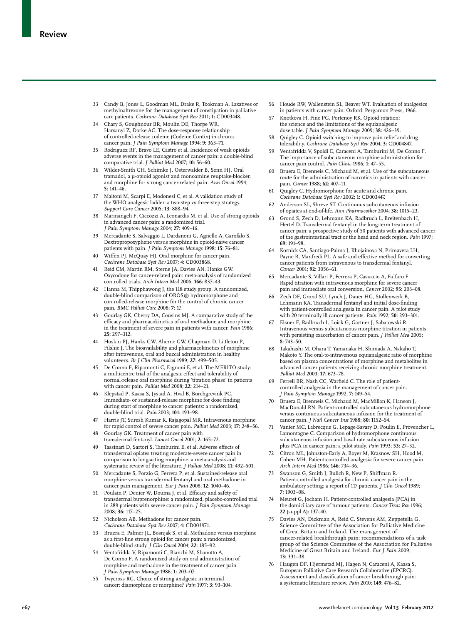- 33 Candy B, Jones L, Goodman ML, Drake R, Tookman A. Laxatives or methylnaltrexone for the management of constipation in palliative care patients. *Cochrane Database Syst Rev* 2011; **1:** CD003448.
- Chary S, Goughnour BR, Moulin DE, Thorpe WR, Harsanyi Z, Darke AC. The dose-response relationship of controlled-release codeine (Codeine Contin) in chronic cancer pain. *J Pain Symptom Manage* 1994; **9:** 363–71.
- 35 Rodriguez RF, Bravo LE, Castro et al. Incidence of weak opioids adverse events in the management of cancer pain: a double-blind comparative trial. *J Palliat Med* 2007; **10:** 56–60.
- 36 Wilder-Smith CH, Schimke J, Osterwalder B, Senn HJ. Oral tramadol, a μ-opioid agonist and monoamine reuptake-blocker, and morphine for strong cancer-related pain. *Ann Oncol* 1994; **5:** 141–46.
- 37 Maltoni M, Scarpi E, Modonesi C, et al. A validation study of the WHO analgesic ladder: a two-step vs three-step strategy. *Support Care Cancer* 2005; **13:** 888–94.
- 38 Marinangeli F, Ciccozzi A, Leonardis M, et al. Use of strong opioids in advanced cancer pain: a randomized trial. *J Pain Symptom Manage* 2004; **27:** 409–16.
- 39 Mercadante S, Salvaggio L, Dardanoni G, Agnello A, Garofalo S. Dextropropoxyphene versus morphine in opioid-naive cancer patients with pain. *J Pain Symptom Manage* 1998; **15:** 76–81.
- 40 Wiffen PJ, McQuay HJ. Oral morphine for cancer pain. *Cochrane Database Syst Rev* 2007; **4:** CD003868.
- 41 Reid CM, Martin RM, Sterne JA, Davies AN, Hanks GW. Oxycodone for cancer-related pain: meta-analysis of randomized controlled trials. *Arch Intern Med* 2006; **166:** 837–43.
- 42 Hanna M, Thipphawong J, the 118 study group. A randomized, double-blind comparison of OROS<sup>®</sup> hydromorphone and controlled-release morphine for the control of chronic cancer pain. *BMC Palliat Care* 2008; **7:** 17.
- 43 Gourlay GK, Cherry DA, Cousins MJ. A comparative study of the efficacy and pharmacokinetics of oral methadone and morphine in the treatment of severe pain in patients with cancer. *Pain* 1986; **25:** 297–312.
- 44 Hoskin PJ, Hanks GW, Aherne GW, Chapman D, Littleton P, Filshie J. The bioavailability and pharmacokinetics of morphine after intravenous, oral and buccal administration in healthy volunteers. *Br J Clin Pharmacol* 1989; **27:** 499–505.
- 45 De Conno F, Ripamonti C, Fagnoni E, et al. The MERITO study: a multicentre trial of the analgesic effect and tolerability of normal-release oral morphine during 'titration phase' in patients with cancer pain. *Palliat Med* 2008; **22:** 214–21.
- 46 Klepstad P, Kaasa S, Jystad A, Hval B, Borchgrevink PC. Immediate- or sustained-release morphine for dose finding during start of morphine to cancer patients: a randomized, double-blind trial. *Pain* 2003; **101:** 193–98.
- 47 Harris JT, Suresh Kumar K, Rajagopal MR. Intravenous morphine for rapid control of severe cancer pain. *Palliat Med* 2003; **17:** 248–56.
- 48 Gourlay GK. Treatment of cancer pain with transdermal fentanyl. *Lancet Oncol* 2001; **2:** 165–72.
- 49 Tassinari D, Sartori S, Tamburini E, et al. Adverse effects of transdermal opiates treating moderate-severe cancer pain in comparison to long-acting morphine: a meta-analysis and systematic review of the literature. *J Palliat Med* 2008; **11:** 492–501.
- 50 Mercadante S, Porzio G, Ferrera P, et al. Sustained-release oral morphine versus transdermal fentanyl and oral methadone in cancer pain management. *Eur J Pain* 2008; **12:** 1040–46.
- 51 Poulain P, Denier W, Douma J, et al. Efficacy and safety of transdermal buprenorphine: a randomized, placebo-controlled trial in 289 patients with severe cancer pain. *J Pain Symptom Manage* 2008; **36:** 117–25.
- 52 Nicholson AB. Methadone for cancer pain. *Cochrane Database Syst Rev* 2007; **4:** CD003971.
- 53 Bruera E, Palmer JL, Bosnjak S, et al. Methadone versus morphine as a first-line strong opioid for cancer pain: a randomized, double-blind study. *J Clin Oncol* 2004; **22:** 185–92.
- 54 Ventafridda V, Ripamonti C, Bianchi M, Sbanotto A, De Conno F. A randomized study on oral administration of morphine and methadone in the treatment of cancer pain. *J Pain Symptom Manage* 1986; **1:** 203–07.
- 55 Twycross RG. Choice of strong analgesic in terminal cancer: diamorphine or morphine? *Pain* 1977; **3:** 93–104.
- 56 Houde RW, Wallenstein SL, Beaver WT. Evaluation of analgesics in patients with cancer pain. Oxford: Pergamon Press, 1966.
- 57 Knotkova H, Fine PG, Portenoy RK. Opioid rotation: the science and the limitations of the equianalgesic dose table. *J Pain Symptom Manage* 2009; **38:** 426–39.
- 58 Quigley C. Opioid switching to improve pain relief and drug tolerability. *Cochrane Database Syst Rev* 2004; **3:** CD004847.
- 59 Ventafridda V, Spoldi E, Caraceni A, Tamburini M, De Conno F. The importance of subcutaneous morphine administration for cancer pain control. *Pain Clinic* 1986; **1:** 47–55.
- 60 Bruera E, Brenneis C, Michaud M, et al. Use of the subcutaneous route for the administration of narcotics in patients with cancer pain. *Cancer* 1988; **62:** 407–11.
- Quigley C. Hydromorphone for acute and chronic pain. *Cochrane Database Syst Rev* 2002; **1:** CD003447.
- 62 Anderson SL, Shreve ST. Continuous subcutaneous infusion of opiates at end-of-life. *Ann Pharmacother* 2004; **38:** 1015–23.
- 63 Grond S, Zech D, Lehmann KA, Radbruch L, Breitenbach H, Hertel D. Transdermal fentanyl in the long-term treatment of cancer pain: a prospective study of 50 patients with advanced cancer of the gastrointestinal tract or the head and neck region. *Pain* 1997; **69:** 191–98.
- 64 Kornick CA, Santiago-Palma J, Khojainova N, Primavera LH, Payne R, Manfredi PL. A safe and effective method for converting cancer patients from intravenous to transdermal fentanyl. *Cancer* 2001; **92:** 3056–61.
- 65 Mercadante S, Villari P, Ferrera P, Casuccio A, Fulfaro F. Rapid titration with intravenous morphine for severe cancer pain and immediate oral conversion. *Cancer* 2002; **95:** 203–08.
- 66 Zech DF, Grond SU, Lynch J, Dauer HG, Stollenwerk B, Lehmann KA. Transdermal fentanyl and initial dose-finding with patient-controlled analgesia in cancer pain. A pilot study with 20 terminally ill cancer patients. *Pain* 1992; **50:** 293–301.
- 67 Elsner F, Radbruch L, Loick G, Gartner J, Sabatowski R. Intravenous versus subcutaneous morphine titration in patients with persisting exacerbation of cancer pain. *J Palliat Med* 2005; **8:** 743–50.
- 68 Takahashi M, Ohara T, Yamanaka H, Shimada A, Nakaho T, Makoto Y. The oral-to-intravenous equianalgesic ratio of morphine based on plasma concentrations of morphine and metabolites in advanced cancer patients receiving chronic morphine treatment. *Palliat Med* 2003; **17:** 673–78.
- Ferrell BR, Nash CC, Warfield C. The role of patientcontrolled analgesia in the management of cancer pain. *J Pain Symptom Manage* 1992; **7:** 149–54.
- 70 Bruera E, Brenneis C, Michaud M, MacMillan K, Hanson J, MacDonald RN. Patient-controlled subcutaneous hydromorphone versus continuous subcutaneous infusion for the treatment of cancer pain. *J Natl Cancer Inst* 1988; **80:** 1152–54.
- 71 Vanier MC, Labrecque G, Lepage-Savary D, Poulin E, Provencher L, Lamontagne C. Comparison of hydromorphone continuous subcutaneous infusion and basal rate subcutaneous infusion plus PCA in cancer pain: a pilot study. *Pain* 1993; **53:** 27–32.
- Citron ML, Johnston-Early A, Boyer M, Krasnow SH, Hood M, Cohen MH. Patient-controlled analgesia for severe cancer pain. *Arch Intern Med* 1986; **146:** 734–36.
- Swanson G, Smith J, Bulich R, New P, Shiffman R. Patient-controlled analgesia for chronic cancer pain in the ambulatory setting: a report of 117 patients. *J Clin Oncol* 1989; **7:** 1903–08.
- 74 Meuret G, Jocham H. Patient-controlled analgesia (PCA) in the domiciliary care of tumour patients. *Cancer Treat Rev* 1996; **22** (suppl A)**:** 137–40.
- 75 Davies AN, Dickman A, Reid C, Stevens AM, Zeppetella G, Science Committee of the Association for Palliative Medicine of Great Britain and Ireland. The management of cancer-related breakthrough pain: recommendations of a task group of the Science Committee of the Association for Palliative Medicine of Great Britain and Ireland. *Eur J Pain* 2009; **13:** 331–38.
- 76 Haugen DF, Hjermstad MJ, Hagen N, Caraceni A, Kaasa S, European Palliative Care Research Collaborative (EPCRC). Assessment and classification of cancer breakthrough pain: a systematic literature review. *Pain* 2010; **149:** 476–82.